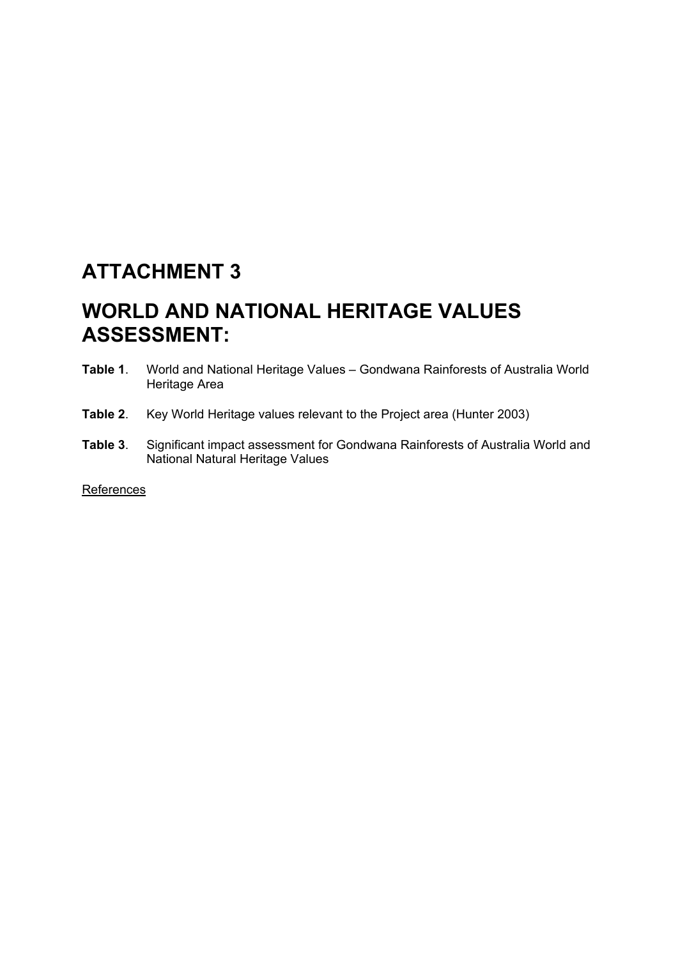# **ATTACHMENT 3**

# **WORLD AND NATIONAL HERITAGE VALUES ASSESSMENT:**

- **Table 1**. World and National Heritage Values Gondwana Rainforests of Australia World Heritage Area
- **Table 2**. Key World Heritage values relevant to the Project area (Hunter 2003)
- **Table 3**. Significant impact assessment for Gondwana Rainforests of Australia World and National Natural Heritage Values

**References**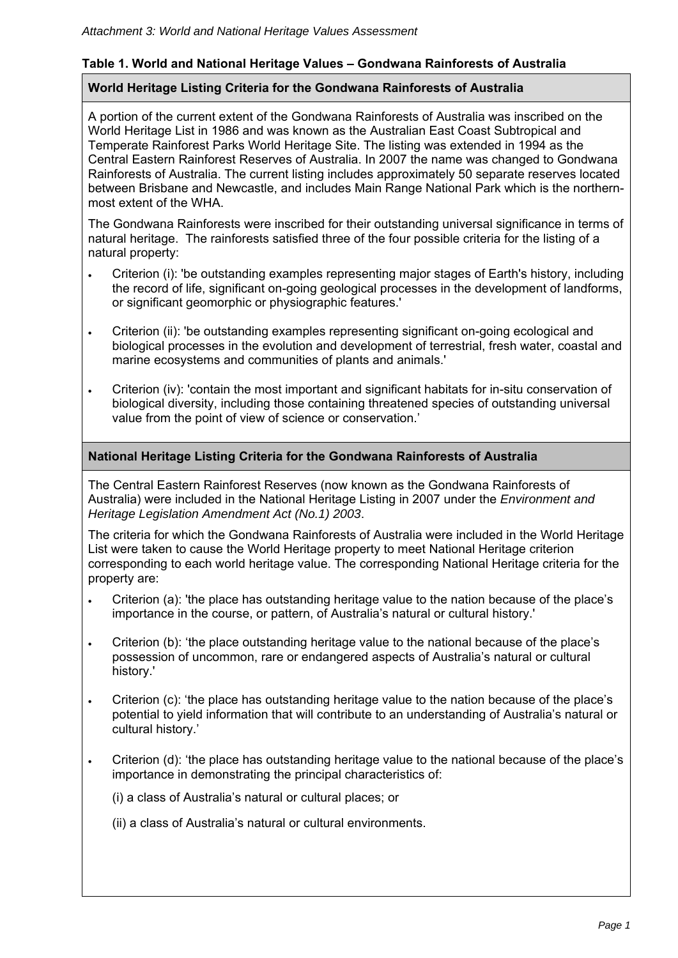## **Table 1. World and National Heritage Values – Gondwana Rainforests of Australia**

### **World Heritage Listing Criteria for the Gondwana Rainforests of Australia**

A portion of the current extent of the Gondwana Rainforests of Australia was inscribed on the World Heritage List in 1986 and was known as the Australian East Coast Subtropical and Temperate Rainforest Parks World Heritage Site. The listing was extended in 1994 as the Central Eastern Rainforest Reserves of Australia. In 2007 the name was changed to Gondwana Rainforests of Australia. The current listing includes approximately 50 separate reserves located between Brisbane and Newcastle, and includes Main Range National Park which is the northernmost extent of the WHA.

The Gondwana Rainforests were inscribed for their outstanding universal significance in terms of natural heritage. The rainforests satisfied three of the four possible criteria for the listing of a natural property:

- Criterion (i): 'be outstanding examples representing major stages of Earth's history, including the record of life, significant on-going geological processes in the development of landforms, or significant geomorphic or physiographic features.'
- Criterion (ii): 'be outstanding examples representing significant on-going ecological and biological processes in the evolution and development of terrestrial, fresh water, coastal and marine ecosystems and communities of plants and animals.'
- Criterion (iv): 'contain the most important and significant habitats for in-situ conservation of biological diversity, including those containing threatened species of outstanding universal value from the point of view of science or conservation.'

### **National Heritage Listing Criteria for the Gondwana Rainforests of Australia**

The Central Eastern Rainforest Reserves (now known as the Gondwana Rainforests of Australia) were included in the National Heritage Listing in 2007 under the *Environment and Heritage Legislation Amendment Act (No.1) 2003*.

The criteria for which the Gondwana Rainforests of Australia were included in the World Heritage List were taken to cause the World Heritage property to meet National Heritage criterion corresponding to each world heritage value. The corresponding National Heritage criteria for the property are:

- Criterion (a): 'the place has outstanding heritage value to the nation because of the place's importance in the course, or pattern, of Australia's natural or cultural history.'
- Criterion (b): 'the place outstanding heritage value to the national because of the place's possession of uncommon, rare or endangered aspects of Australia's natural or cultural history.'
- Criterion (c): 'the place has outstanding heritage value to the nation because of the place's potential to yield information that will contribute to an understanding of Australia's natural or cultural history.'
- Criterion (d): 'the place has outstanding heritage value to the national because of the place's importance in demonstrating the principal characteristics of:

(i) a class of Australia's natural or cultural places; or

(ii) a class of Australia's natural or cultural environments.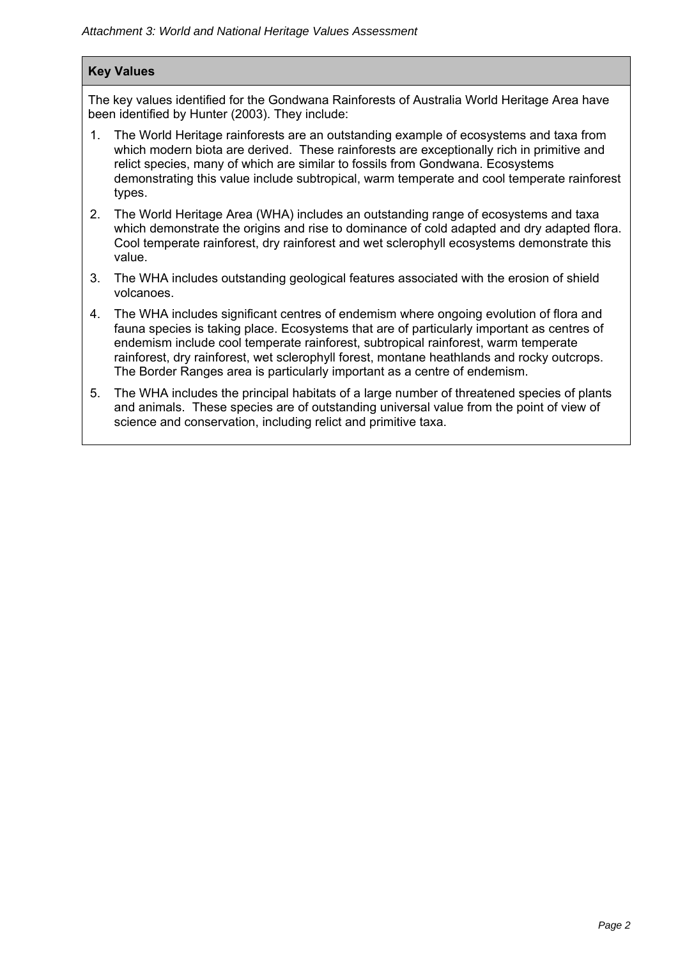### **Key Values**

The key values identified for the Gondwana Rainforests of Australia World Heritage Area have been identified by Hunter (2003). They include:

- 1. The World Heritage rainforests are an outstanding example of ecosystems and taxa from which modern biota are derived. These rainforests are exceptionally rich in primitive and relict species, many of which are similar to fossils from Gondwana. Ecosystems demonstrating this value include subtropical, warm temperate and cool temperate rainforest types.
- 2. The World Heritage Area (WHA) includes an outstanding range of ecosystems and taxa which demonstrate the origins and rise to dominance of cold adapted and dry adapted flora. Cool temperate rainforest, dry rainforest and wet sclerophyll ecosystems demonstrate this value.
- 3. The WHA includes outstanding geological features associated with the erosion of shield volcanoes.
- 4. The WHA includes significant centres of endemism where ongoing evolution of flora and fauna species is taking place. Ecosystems that are of particularly important as centres of endemism include cool temperate rainforest, subtropical rainforest, warm temperate rainforest, dry rainforest, wet sclerophyll forest, montane heathlands and rocky outcrops. The Border Ranges area is particularly important as a centre of endemism.
- 5. The WHA includes the principal habitats of a large number of threatened species of plants and animals. These species are of outstanding universal value from the point of view of science and conservation, including relict and primitive taxa.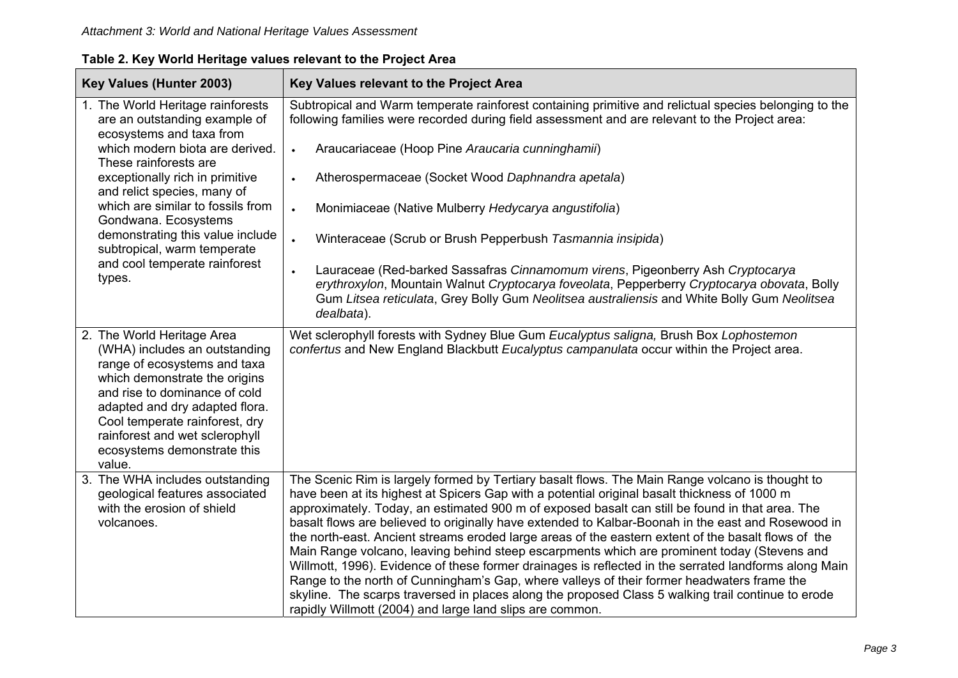| Table 2. Key World Heritage values relevant to the Project Area |  |  |
|-----------------------------------------------------------------|--|--|
|                                                                 |  |  |

| Key Values (Hunter 2003)                                                                                                                                                                                                                                                                                     | Key Values relevant to the Project Area                                                                                                                                                                                                                                                                                                                                                                                                                                                                                                                                                                                                                                                                                                                                                                                                                                                                                                                                                 |
|--------------------------------------------------------------------------------------------------------------------------------------------------------------------------------------------------------------------------------------------------------------------------------------------------------------|-----------------------------------------------------------------------------------------------------------------------------------------------------------------------------------------------------------------------------------------------------------------------------------------------------------------------------------------------------------------------------------------------------------------------------------------------------------------------------------------------------------------------------------------------------------------------------------------------------------------------------------------------------------------------------------------------------------------------------------------------------------------------------------------------------------------------------------------------------------------------------------------------------------------------------------------------------------------------------------------|
| 1. The World Heritage rainforests<br>are an outstanding example of<br>ecosystems and taxa from                                                                                                                                                                                                               | Subtropical and Warm temperate rainforest containing primitive and relictual species belonging to the<br>following families were recorded during field assessment and are relevant to the Project area:                                                                                                                                                                                                                                                                                                                                                                                                                                                                                                                                                                                                                                                                                                                                                                                 |
| which modern biota are derived.<br>These rainforests are                                                                                                                                                                                                                                                     | Araucariaceae (Hoop Pine Araucaria cunninghamii)<br>$\bullet$                                                                                                                                                                                                                                                                                                                                                                                                                                                                                                                                                                                                                                                                                                                                                                                                                                                                                                                           |
| exceptionally rich in primitive<br>and relict species, many of                                                                                                                                                                                                                                               | Atherospermaceae (Socket Wood Daphnandra apetala)                                                                                                                                                                                                                                                                                                                                                                                                                                                                                                                                                                                                                                                                                                                                                                                                                                                                                                                                       |
| which are similar to fossils from<br>Gondwana. Ecosystems<br>demonstrating this value include<br>subtropical, warm temperate<br>and cool temperate rainforest<br>types.                                                                                                                                      | Monimiaceae (Native Mulberry Hedycarya angustifolia)                                                                                                                                                                                                                                                                                                                                                                                                                                                                                                                                                                                                                                                                                                                                                                                                                                                                                                                                    |
|                                                                                                                                                                                                                                                                                                              | Winteraceae (Scrub or Brush Pepperbush Tasmannia insipida)<br>$\bullet$                                                                                                                                                                                                                                                                                                                                                                                                                                                                                                                                                                                                                                                                                                                                                                                                                                                                                                                 |
|                                                                                                                                                                                                                                                                                                              | Lauraceae (Red-barked Sassafras Cinnamomum virens, Pigeonberry Ash Cryptocarya<br>$\bullet$<br>erythroxylon, Mountain Walnut Cryptocarya foveolata, Pepperberry Cryptocarya obovata, Bolly<br>Gum Litsea reticulata, Grey Bolly Gum Neolitsea australiensis and White Bolly Gum Neolitsea<br>dealbata).                                                                                                                                                                                                                                                                                                                                                                                                                                                                                                                                                                                                                                                                                 |
| 2. The World Heritage Area<br>(WHA) includes an outstanding<br>range of ecosystems and taxa<br>which demonstrate the origins<br>and rise to dominance of cold<br>adapted and dry adapted flora.<br>Cool temperate rainforest, dry<br>rainforest and wet sclerophyll<br>ecosystems demonstrate this<br>value. | Wet sclerophyll forests with Sydney Blue Gum Eucalyptus saligna, Brush Box Lophostemon<br>confertus and New England Blackbutt Eucalyptus campanulata occur within the Project area.                                                                                                                                                                                                                                                                                                                                                                                                                                                                                                                                                                                                                                                                                                                                                                                                     |
| 3. The WHA includes outstanding<br>geological features associated<br>with the erosion of shield<br>volcanoes.                                                                                                                                                                                                | The Scenic Rim is largely formed by Tertiary basalt flows. The Main Range volcano is thought to<br>have been at its highest at Spicers Gap with a potential original basalt thickness of 1000 m<br>approximately. Today, an estimated 900 m of exposed basalt can still be found in that area. The<br>basalt flows are believed to originally have extended to Kalbar-Boonah in the east and Rosewood in<br>the north-east. Ancient streams eroded large areas of the eastern extent of the basalt flows of the<br>Main Range volcano, leaving behind steep escarpments which are prominent today (Stevens and<br>Willmott, 1996). Evidence of these former drainages is reflected in the serrated landforms along Main<br>Range to the north of Cunningham's Gap, where valleys of their former headwaters frame the<br>skyline. The scarps traversed in places along the proposed Class 5 walking trail continue to erode<br>rapidly Willmott (2004) and large land slips are common. |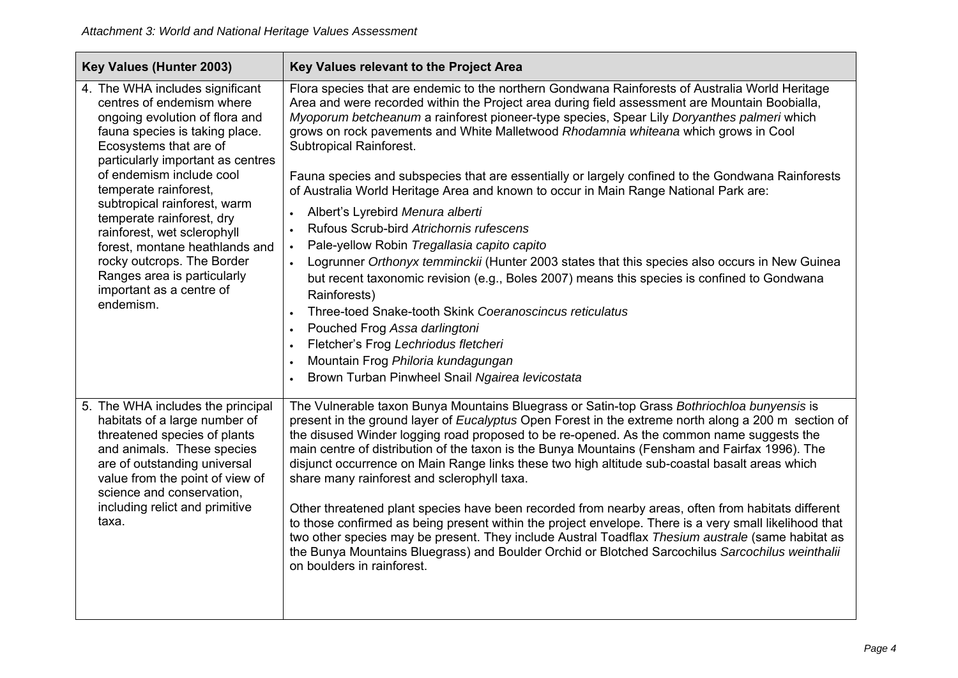| Key Values (Hunter 2003)                                                                                                                                                                                                                                                                                                                                                                                                                                                                 | Key Values relevant to the Project Area                                                                                                                                                                                                                                                                                                                                                                                                                                                                                                                                                                                                                                                                                                                                                                                                                                                                                                                                                                                                                                                                                                                                                                |
|------------------------------------------------------------------------------------------------------------------------------------------------------------------------------------------------------------------------------------------------------------------------------------------------------------------------------------------------------------------------------------------------------------------------------------------------------------------------------------------|--------------------------------------------------------------------------------------------------------------------------------------------------------------------------------------------------------------------------------------------------------------------------------------------------------------------------------------------------------------------------------------------------------------------------------------------------------------------------------------------------------------------------------------------------------------------------------------------------------------------------------------------------------------------------------------------------------------------------------------------------------------------------------------------------------------------------------------------------------------------------------------------------------------------------------------------------------------------------------------------------------------------------------------------------------------------------------------------------------------------------------------------------------------------------------------------------------|
| 4. The WHA includes significant<br>centres of endemism where<br>ongoing evolution of flora and<br>fauna species is taking place.<br>Ecosystems that are of<br>particularly important as centres<br>of endemism include cool<br>temperate rainforest,<br>subtropical rainforest, warm<br>temperate rainforest, dry<br>rainforest, wet sclerophyll<br>forest, montane heathlands and<br>rocky outcrops. The Border<br>Ranges area is particularly<br>important as a centre of<br>endemism. | Flora species that are endemic to the northern Gondwana Rainforests of Australia World Heritage<br>Area and were recorded within the Project area during field assessment are Mountain Boobialla,<br>Myoporum betcheanum a rainforest pioneer-type species, Spear Lily Doryanthes palmeri which<br>grows on rock pavements and White Malletwood Rhodamnia whiteana which grows in Cool<br>Subtropical Rainforest.<br>Fauna species and subspecies that are essentially or largely confined to the Gondwana Rainforests<br>of Australia World Heritage Area and known to occur in Main Range National Park are:<br>Albert's Lyrebird Menura alberti<br>Rufous Scrub-bird Atrichornis rufescens<br>Pale-yellow Robin Tregallasia capito capito<br>Logrunner Orthonyx temminckii (Hunter 2003 states that this species also occurs in New Guinea<br>$\bullet$<br>but recent taxonomic revision (e.g., Boles 2007) means this species is confined to Gondwana<br>Rainforests)<br>Three-toed Snake-tooth Skink Coeranoscincus reticulatus<br>Pouched Frog Assa darlingtoni<br>Fletcher's Frog Lechriodus fletcheri<br>Mountain Frog Philoria kundagungan<br>Brown Turban Pinwheel Snail Ngairea levicostata |
| 5. The WHA includes the principal<br>habitats of a large number of<br>threatened species of plants<br>and animals. These species<br>are of outstanding universal<br>value from the point of view of<br>science and conservation,<br>including relict and primitive<br>taxa.                                                                                                                                                                                                              | The Vulnerable taxon Bunya Mountains Bluegrass or Satin-top Grass Bothriochloa bunyensis is<br>present in the ground layer of <i>Eucalyptus</i> Open Forest in the extreme north along a 200 m section of<br>the disused Winder logging road proposed to be re-opened. As the common name suggests the<br>main centre of distribution of the taxon is the Bunya Mountains (Fensham and Fairfax 1996). The<br>disjunct occurrence on Main Range links these two high altitude sub-coastal basalt areas which<br>share many rainforest and sclerophyll taxa.<br>Other threatened plant species have been recorded from nearby areas, often from habitats different<br>to those confirmed as being present within the project envelope. There is a very small likelihood that<br>two other species may be present. They include Austral Toadflax Thesium australe (same habitat as<br>the Bunya Mountains Bluegrass) and Boulder Orchid or Blotched Sarcochilus Sarcochilus weinthalii<br>on boulders in rainforest.                                                                                                                                                                                      |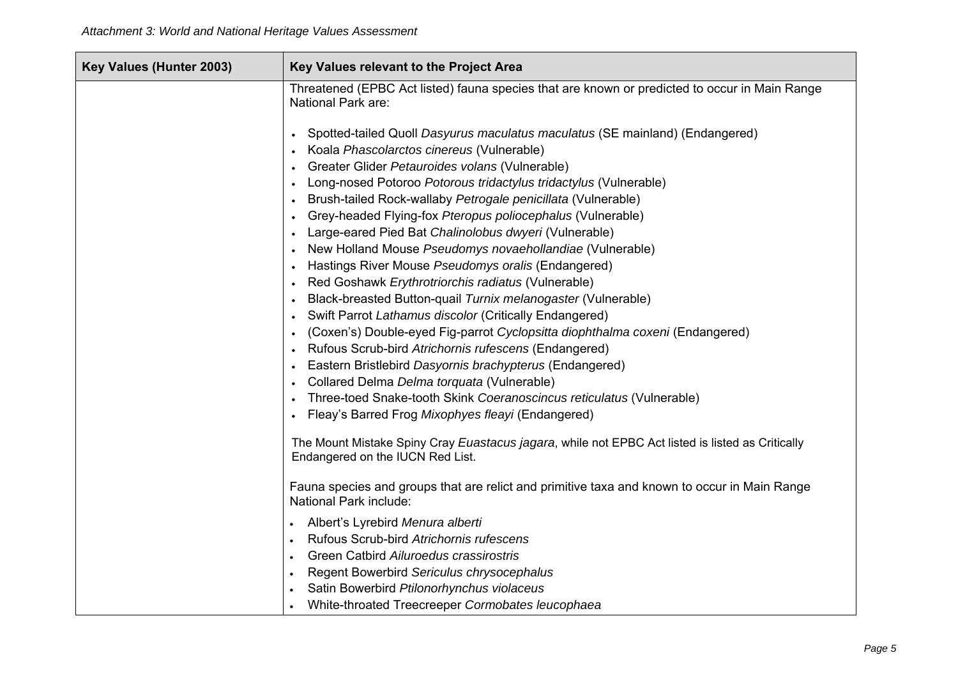| Key Values (Hunter 2003) | Key Values relevant to the Project Area                                                                                                                                                                                                                                                                                                                                                                                                                                                                                                                                              |
|--------------------------|--------------------------------------------------------------------------------------------------------------------------------------------------------------------------------------------------------------------------------------------------------------------------------------------------------------------------------------------------------------------------------------------------------------------------------------------------------------------------------------------------------------------------------------------------------------------------------------|
|                          | Threatened (EPBC Act listed) fauna species that are known or predicted to occur in Main Range<br>National Park are:                                                                                                                                                                                                                                                                                                                                                                                                                                                                  |
|                          | Spotted-tailed Quoll Dasyurus maculatus maculatus (SE mainland) (Endangered)<br>Koala Phascolarctos cinereus (Vulnerable)<br>Greater Glider Petauroides volans (Vulnerable)<br>Long-nosed Potoroo Potorous tridactylus tridactylus (Vulnerable)<br>Brush-tailed Rock-wallaby Petrogale penicillata (Vulnerable)<br>Grey-headed Flying-fox Pteropus poliocephalus (Vulnerable)<br>Large-eared Pied Bat Chalinolobus dwyeri (Vulnerable)<br>$\bullet$<br>New Holland Mouse Pseudomys novaehollandiae (Vulnerable)<br>Hastings River Mouse Pseudomys oralis (Endangered)                |
|                          | Red Goshawk Erythrotriorchis radiatus (Vulnerable)<br>Black-breasted Button-quail Turnix melanogaster (Vulnerable)<br>Swift Parrot Lathamus discolor (Critically Endangered)<br>$\bullet$<br>(Coxen's) Double-eyed Fig-parrot Cyclopsitta diophthalma coxeni (Endangered)<br>$\bullet$<br>Rufous Scrub-bird Atrichornis rufescens (Endangered)<br>Eastern Bristlebird Dasyornis brachypterus (Endangered)<br>Collared Delma Delma torquata (Vulnerable)<br>Three-toed Snake-tooth Skink Coeranoscincus reticulatus (Vulnerable)<br>Fleay's Barred Frog Mixophyes fleayi (Endangered) |
|                          | The Mount Mistake Spiny Cray Euastacus jagara, while not EPBC Act listed is listed as Critically<br>Endangered on the IUCN Red List.                                                                                                                                                                                                                                                                                                                                                                                                                                                 |
|                          | Fauna species and groups that are relict and primitive taxa and known to occur in Main Range<br>National Park include:                                                                                                                                                                                                                                                                                                                                                                                                                                                               |
|                          | Albert's Lyrebird Menura alberti<br>Rufous Scrub-bird Atrichornis rufescens<br>Green Catbird Ailuroedus crassirostris<br>Regent Bowerbird Sericulus chrysocephalus<br>Satin Bowerbird Ptilonorhynchus violaceus<br>White-throated Treecreeper Cormobates leucophaea                                                                                                                                                                                                                                                                                                                  |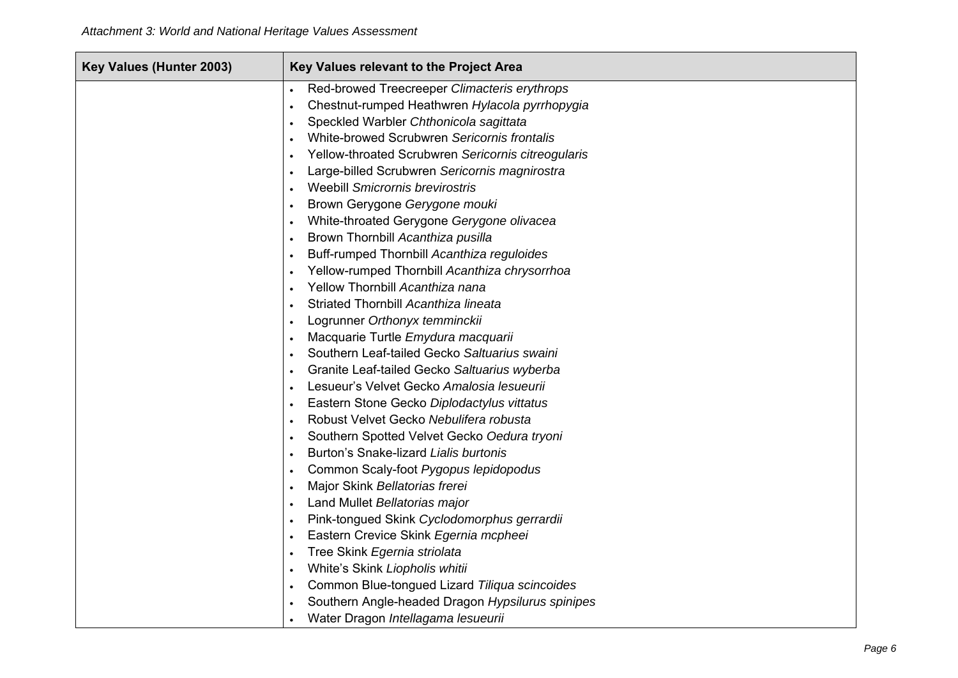| Key Values (Hunter 2003) | Key Values relevant to the Project Area                                                |
|--------------------------|----------------------------------------------------------------------------------------|
|                          | Red-browed Treecreeper Climacteris erythrops                                           |
|                          | Chestnut-rumped Heathwren Hylacola pyrrhopygia                                         |
|                          | Speckled Warbler Chthonicola sagittata                                                 |
|                          | White-browed Scrubwren Sericornis frontalis                                            |
|                          | Yellow-throated Scrubwren Sericornis citreogularis                                     |
|                          | Large-billed Scrubwren Sericornis magnirostra                                          |
|                          | <b>Weebill Smicrornis brevirostris</b>                                                 |
|                          | Brown Gerygone Gerygone mouki                                                          |
|                          | White-throated Gerygone Gerygone olivacea<br>$\bullet$                                 |
|                          | Brown Thornbill Acanthiza pusilla                                                      |
|                          | Buff-rumped Thornbill Acanthiza reguloides                                             |
|                          | Yellow-rumped Thornbill Acanthiza chrysorrhoa                                          |
|                          | Yellow Thornbill Acanthiza nana                                                        |
|                          | Striated Thornbill Acanthiza lineata                                                   |
|                          | Logrunner Orthonyx temminckii                                                          |
|                          | Macquarie Turtle Emydura macquarii                                                     |
|                          | Southern Leaf-tailed Gecko Saltuarius swaini                                           |
|                          | Granite Leaf-tailed Gecko Saltuarius wyberba                                           |
|                          | Lesueur's Velvet Gecko Amalosia lesueurii                                              |
|                          | Eastern Stone Gecko Diplodactylus vittatus                                             |
|                          | Robust Velvet Gecko Nebulifera robusta<br>$\bullet$                                    |
|                          | Southern Spotted Velvet Gecko Oedura tryoni                                            |
|                          | Burton's Snake-lizard Lialis burtonis                                                  |
|                          | Common Scaly-foot Pygopus lepidopodus                                                  |
|                          | Major Skink Bellatorias frerei                                                         |
|                          | Land Mullet Bellatorias major                                                          |
|                          | Pink-tongued Skink Cyclodomorphus gerrardii                                            |
|                          | Eastern Crevice Skink Egernia mcpheei                                                  |
|                          | Tree Skink Egernia striolata                                                           |
|                          | White's Skink Liopholis whitii<br>$\bullet$                                            |
|                          | Common Blue-tongued Lizard Tiliqua scincoides                                          |
|                          | Southern Angle-headed Dragon Hypsilurus spinipes<br>Water Dragon Intellagama lesueurii |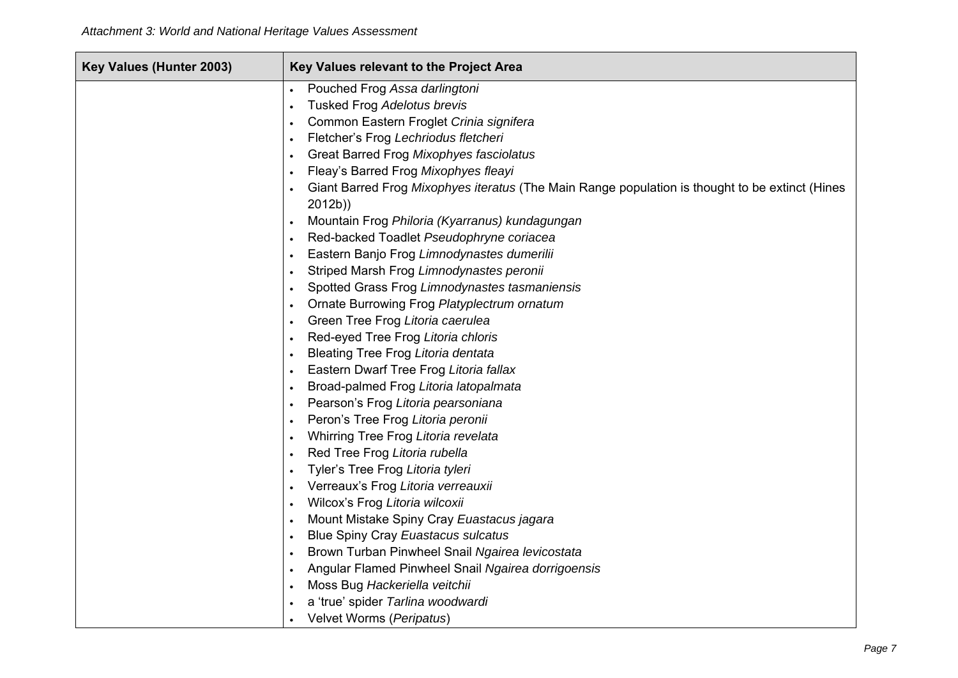| Key Values (Hunter 2003) | Key Values relevant to the Project Area                                                                   |
|--------------------------|-----------------------------------------------------------------------------------------------------------|
|                          | Pouched Frog Assa darlingtoni<br>$\bullet$                                                                |
|                          | Tusked Frog Adelotus brevis                                                                               |
|                          | Common Eastern Froglet Crinia signifera                                                                   |
|                          | Fletcher's Frog Lechriodus fletcheri<br>$\bullet$                                                         |
|                          | Great Barred Frog Mixophyes fasciolatus                                                                   |
|                          | Fleay's Barred Frog Mixophyes fleayi                                                                      |
|                          | Giant Barred Frog Mixophyes iteratus (The Main Range population is thought to be extinct (Hines           |
|                          | 2012b)                                                                                                    |
|                          | Mountain Frog Philoria (Kyarranus) kundagungan<br>$\bullet$                                               |
|                          | Red-backed Toadlet Pseudophryne coriacea<br>$\bullet$                                                     |
|                          | Eastern Banjo Frog Limnodynastes dumerilii                                                                |
|                          | Striped Marsh Frog Limnodynastes peronii<br>$\bullet$                                                     |
|                          | Spotted Grass Frog Limnodynastes tasmaniensis<br>$\bullet$                                                |
|                          | Ornate Burrowing Frog Platyplectrum ornatum                                                               |
|                          | Green Tree Frog Litoria caerulea<br>$\bullet$                                                             |
|                          | Red-eyed Tree Frog Litoria chloris                                                                        |
|                          | Bleating Tree Frog Litoria dentata                                                                        |
|                          | Eastern Dwarf Tree Frog Litoria fallax                                                                    |
|                          | Broad-palmed Frog Litoria latopalmata<br>$\bullet$                                                        |
|                          | Pearson's Frog Litoria pearsoniana<br>$\bullet$                                                           |
|                          | Peron's Tree Frog Litoria peronii<br>$\bullet$                                                            |
|                          | Whirring Tree Frog Litoria revelata                                                                       |
|                          | Red Tree Frog Litoria rubella<br>$\bullet$                                                                |
|                          | Tyler's Tree Frog Litoria tyleri                                                                          |
|                          | Verreaux's Frog Litoria verreauxii                                                                        |
|                          | Wilcox's Frog Litoria wilcoxii<br>$\bullet$                                                               |
|                          | Mount Mistake Spiny Cray Euastacus jagara                                                                 |
|                          | <b>Blue Spiny Cray Euastacus sulcatus</b><br>$\bullet$<br>Brown Turban Pinwheel Snail Ngairea levicostata |
|                          | $\bullet$<br>Angular Flamed Pinwheel Snail Ngairea dorrigoensis                                           |
|                          | Moss Bug Hackeriella veitchii<br>$\bullet$                                                                |
|                          | a 'true' spider Tarlina woodwardi                                                                         |
|                          | Velvet Worms (Peripatus)                                                                                  |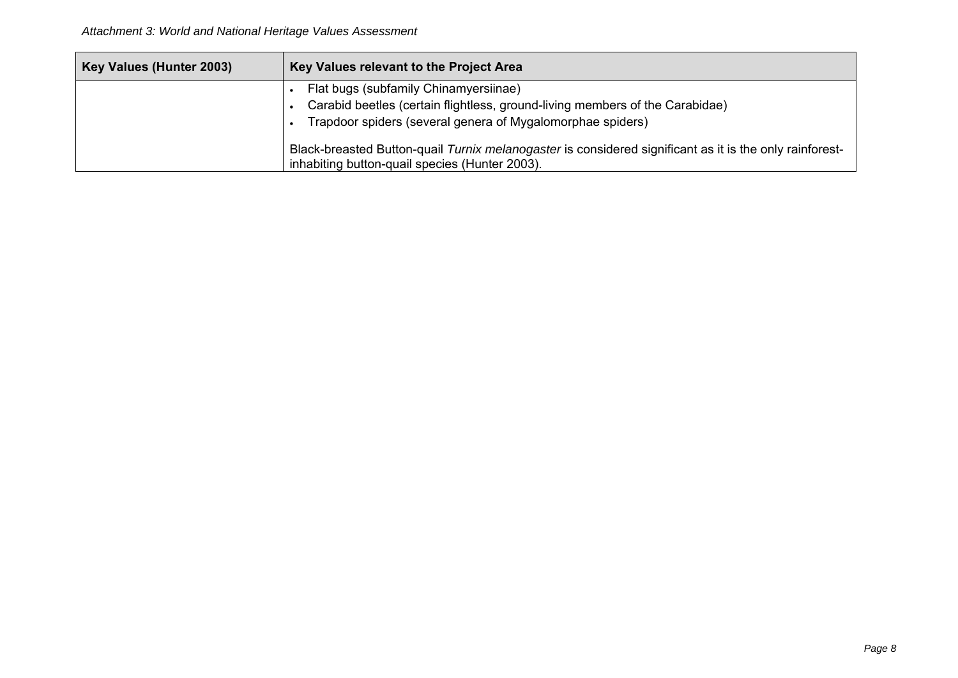| Key Values (Hunter 2003) | Key Values relevant to the Project Area                                                                                                                   |
|--------------------------|-----------------------------------------------------------------------------------------------------------------------------------------------------------|
|                          | Flat bugs (subfamily Chinamyersiinae)<br>Carabid beetles (certain flightless, ground-living members of the Carabidae)                                     |
|                          | Trapdoor spiders (several genera of Mygalomorphae spiders)                                                                                                |
|                          | Black-breasted Button-quail Turnix melanogaster is considered significant as it is the only rainforest-<br>inhabiting button-quail species (Hunter 2003). |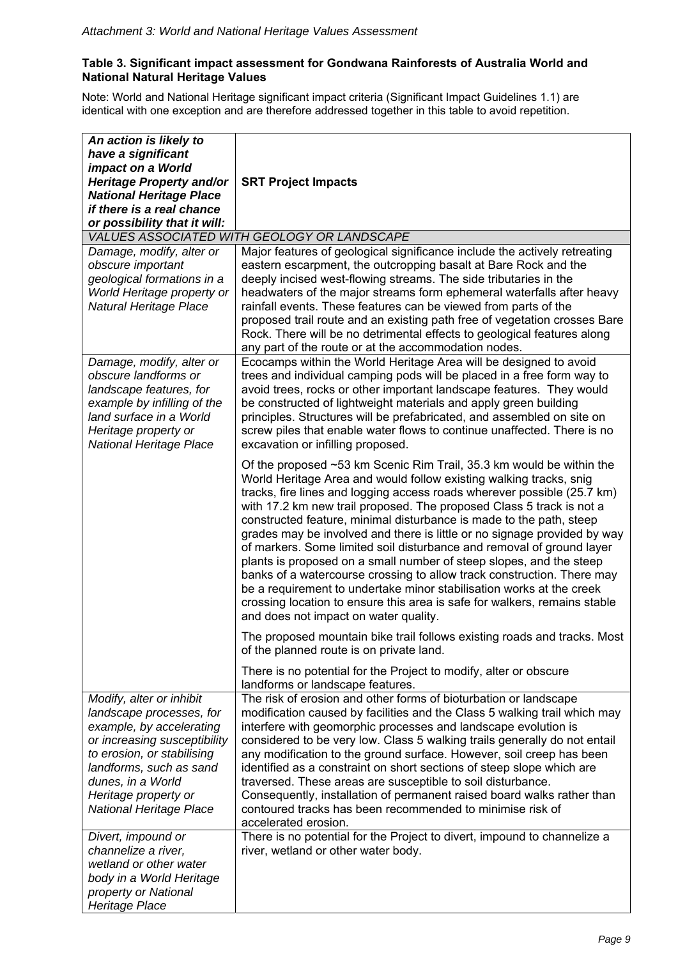#### **Table 3. Significant impact assessment for Gondwana Rainforests of Australia World and National Natural Heritage Values**

Note: World and National Heritage significant impact criteria (Significant Impact Guidelines 1.1) are identical with one exception and are therefore addressed together in this table to avoid repetition.

| An action is likely to<br>have a significant<br>impact on a World<br>Heritage Property and/or<br><b>National Heritage Place</b><br>if there is a real chance<br>or possibility that it will:                                 | <b>SRT Project Impacts</b>                                                                                                                                                                                                                                                                                                                                                                                                                                                                                                                                                                                                                                                                                                                                                                                                                                               |
|------------------------------------------------------------------------------------------------------------------------------------------------------------------------------------------------------------------------------|--------------------------------------------------------------------------------------------------------------------------------------------------------------------------------------------------------------------------------------------------------------------------------------------------------------------------------------------------------------------------------------------------------------------------------------------------------------------------------------------------------------------------------------------------------------------------------------------------------------------------------------------------------------------------------------------------------------------------------------------------------------------------------------------------------------------------------------------------------------------------|
|                                                                                                                                                                                                                              | VALUES ASSOCIATED WITH GEOLOGY OR LANDSCAPE                                                                                                                                                                                                                                                                                                                                                                                                                                                                                                                                                                                                                                                                                                                                                                                                                              |
| Damage, modify, alter or<br>obscure important<br>geological formations in a<br>World Heritage property or<br>Natural Heritage Place                                                                                          | Major features of geological significance include the actively retreating<br>eastern escarpment, the outcropping basalt at Bare Rock and the<br>deeply incised west-flowing streams. The side tributaries in the<br>headwaters of the major streams form ephemeral waterfalls after heavy<br>rainfall events. These features can be viewed from parts of the<br>proposed trail route and an existing path free of vegetation crosses Bare<br>Rock. There will be no detrimental effects to geological features along<br>any part of the route or at the accommodation nodes.                                                                                                                                                                                                                                                                                             |
| Damage, modify, alter or<br>obscure landforms or<br>landscape features, for<br>example by infilling of the<br>land surface in a World<br>Heritage property or<br>National Heritage Place                                     | Ecocamps within the World Heritage Area will be designed to avoid<br>trees and individual camping pods will be placed in a free form way to<br>avoid trees, rocks or other important landscape features. They would<br>be constructed of lightweight materials and apply green building<br>principles. Structures will be prefabricated, and assembled on site on<br>screw piles that enable water flows to continue unaffected. There is no<br>excavation or infilling proposed.                                                                                                                                                                                                                                                                                                                                                                                        |
|                                                                                                                                                                                                                              | Of the proposed ~53 km Scenic Rim Trail, 35.3 km would be within the<br>World Heritage Area and would follow existing walking tracks, snig<br>tracks, fire lines and logging access roads wherever possible (25.7 km)<br>with 17.2 km new trail proposed. The proposed Class 5 track is not a<br>constructed feature, minimal disturbance is made to the path, steep<br>grades may be involved and there is little or no signage provided by way<br>of markers. Some limited soil disturbance and removal of ground layer<br>plants is proposed on a small number of steep slopes, and the steep<br>banks of a watercourse crossing to allow track construction. There may<br>be a requirement to undertake minor stabilisation works at the creek<br>crossing location to ensure this area is safe for walkers, remains stable<br>and does not impact on water quality. |
|                                                                                                                                                                                                                              | The proposed mountain bike trail follows existing roads and tracks. Most<br>of the planned route is on private land.                                                                                                                                                                                                                                                                                                                                                                                                                                                                                                                                                                                                                                                                                                                                                     |
| Modify, alter or inhibit                                                                                                                                                                                                     | There is no potential for the Project to modify, alter or obscure<br>landforms or landscape features.<br>The risk of erosion and other forms of bioturbation or landscape                                                                                                                                                                                                                                                                                                                                                                                                                                                                                                                                                                                                                                                                                                |
| landscape processes, for<br>example, by accelerating<br>or increasing susceptibility<br>to erosion, or stabilising<br>landforms, such as sand<br>dunes, in a World<br>Heritage property or<br><b>National Heritage Place</b> | modification caused by facilities and the Class 5 walking trail which may<br>interfere with geomorphic processes and landscape evolution is<br>considered to be very low. Class 5 walking trails generally do not entail<br>any modification to the ground surface. However, soil creep has been<br>identified as a constraint on short sections of steep slope which are<br>traversed. These areas are susceptible to soil disturbance.<br>Consequently, installation of permanent raised board walks rather than<br>contoured tracks has been recommended to minimise risk of<br>accelerated erosion.                                                                                                                                                                                                                                                                  |
| Divert, impound or<br>channelize a river,<br>wetland or other water<br>body in a World Heritage<br>property or National<br>Heritage Place                                                                                    | There is no potential for the Project to divert, impound to channelize a<br>river, wetland or other water body.                                                                                                                                                                                                                                                                                                                                                                                                                                                                                                                                                                                                                                                                                                                                                          |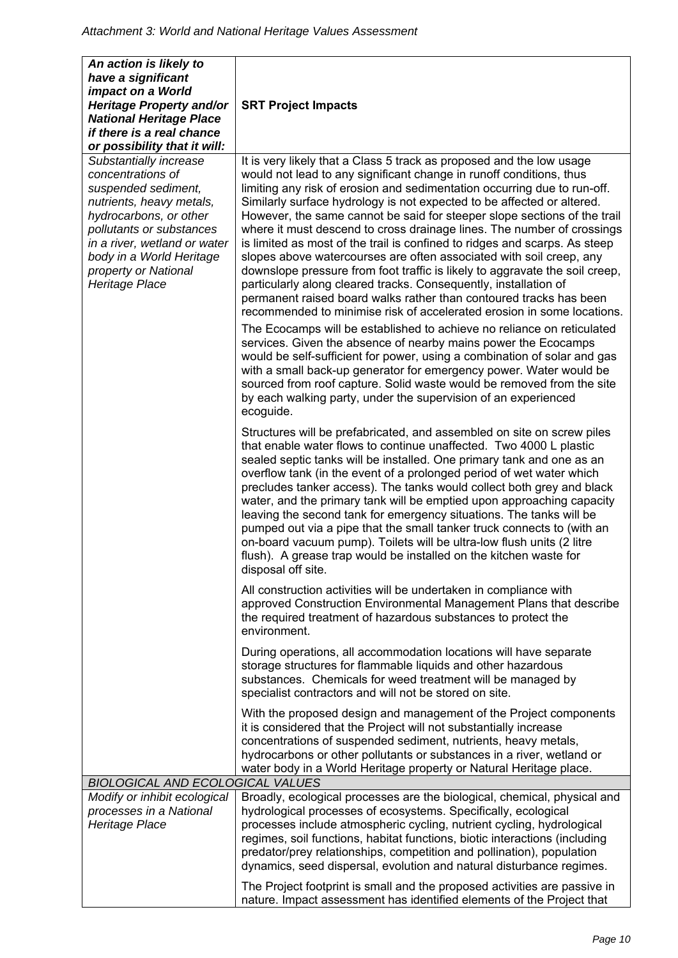| An action is likely to<br>have a significant<br>impact on a World                                                                                                                                                                                          |                                                                                                                                                                                                                                                                                                                                                                                                                                                                                                                                                                                                                                                                                                                                                                                                                                                                                                                                                                                                                                                                                                                                                                                                                                                                                                                                                                       |
|------------------------------------------------------------------------------------------------------------------------------------------------------------------------------------------------------------------------------------------------------------|-----------------------------------------------------------------------------------------------------------------------------------------------------------------------------------------------------------------------------------------------------------------------------------------------------------------------------------------------------------------------------------------------------------------------------------------------------------------------------------------------------------------------------------------------------------------------------------------------------------------------------------------------------------------------------------------------------------------------------------------------------------------------------------------------------------------------------------------------------------------------------------------------------------------------------------------------------------------------------------------------------------------------------------------------------------------------------------------------------------------------------------------------------------------------------------------------------------------------------------------------------------------------------------------------------------------------------------------------------------------------|
| Heritage Property and/or<br><b>National Heritage Place</b><br>if there is a real chance<br>or possibility that it will:                                                                                                                                    | <b>SRT Project Impacts</b>                                                                                                                                                                                                                                                                                                                                                                                                                                                                                                                                                                                                                                                                                                                                                                                                                                                                                                                                                                                                                                                                                                                                                                                                                                                                                                                                            |
| Substantially increase<br>concentrations of<br>suspended sediment,<br>nutrients, heavy metals,<br>hydrocarbons, or other<br>pollutants or substances<br>in a river, wetland or water<br>body in a World Heritage<br>property or National<br>Heritage Place | It is very likely that a Class 5 track as proposed and the low usage<br>would not lead to any significant change in runoff conditions, thus<br>limiting any risk of erosion and sedimentation occurring due to run-off.<br>Similarly surface hydrology is not expected to be affected or altered.<br>However, the same cannot be said for steeper slope sections of the trail<br>where it must descend to cross drainage lines. The number of crossings<br>is limited as most of the trail is confined to ridges and scarps. As steep<br>slopes above watercourses are often associated with soil creep, any<br>downslope pressure from foot traffic is likely to aggravate the soil creep,<br>particularly along cleared tracks. Consequently, installation of<br>permanent raised board walks rather than contoured tracks has been<br>recommended to minimise risk of accelerated erosion in some locations.<br>The Ecocamps will be established to achieve no reliance on reticulated<br>services. Given the absence of nearby mains power the Ecocamps<br>would be self-sufficient for power, using a combination of solar and gas<br>with a small back-up generator for emergency power. Water would be<br>sourced from roof capture. Solid waste would be removed from the site<br>by each walking party, under the supervision of an experienced<br>ecoguide. |
|                                                                                                                                                                                                                                                            | Structures will be prefabricated, and assembled on site on screw piles<br>that enable water flows to continue unaffected. Two 4000 L plastic<br>sealed septic tanks will be installed. One primary tank and one as an<br>overflow tank (in the event of a prolonged period of wet water which<br>precludes tanker access). The tanks would collect both grey and black<br>water, and the primary tank will be emptied upon approaching capacity<br>leaving the second tank for emergency situations. The tanks will be<br>pumped out via a pipe that the small tanker truck connects to (with an<br>on-board vacuum pump). Toilets will be ultra-low flush units (2 litre<br>flush). A grease trap would be installed on the kitchen waste for<br>disposal off site.                                                                                                                                                                                                                                                                                                                                                                                                                                                                                                                                                                                                  |
|                                                                                                                                                                                                                                                            | All construction activities will be undertaken in compliance with<br>approved Construction Environmental Management Plans that describe<br>the required treatment of hazardous substances to protect the<br>environment.                                                                                                                                                                                                                                                                                                                                                                                                                                                                                                                                                                                                                                                                                                                                                                                                                                                                                                                                                                                                                                                                                                                                              |
|                                                                                                                                                                                                                                                            | During operations, all accommodation locations will have separate<br>storage structures for flammable liquids and other hazardous<br>substances. Chemicals for weed treatment will be managed by<br>specialist contractors and will not be stored on site.                                                                                                                                                                                                                                                                                                                                                                                                                                                                                                                                                                                                                                                                                                                                                                                                                                                                                                                                                                                                                                                                                                            |
|                                                                                                                                                                                                                                                            | With the proposed design and management of the Project components<br>it is considered that the Project will not substantially increase<br>concentrations of suspended sediment, nutrients, heavy metals,<br>hydrocarbons or other pollutants or substances in a river, wetland or<br>water body in a World Heritage property or Natural Heritage place.                                                                                                                                                                                                                                                                                                                                                                                                                                                                                                                                                                                                                                                                                                                                                                                                                                                                                                                                                                                                               |
| <b>BIOLOGICAL AND ECOLOGICAL VALUES</b>                                                                                                                                                                                                                    |                                                                                                                                                                                                                                                                                                                                                                                                                                                                                                                                                                                                                                                                                                                                                                                                                                                                                                                                                                                                                                                                                                                                                                                                                                                                                                                                                                       |
| Modify or inhibit ecological<br>processes in a National<br>Heritage Place                                                                                                                                                                                  | Broadly, ecological processes are the biological, chemical, physical and<br>hydrological processes of ecosystems. Specifically, ecological<br>processes include atmospheric cycling, nutrient cycling, hydrological<br>regimes, soil functions, habitat functions, biotic interactions (including<br>predator/prey relationships, competition and pollination), population<br>dynamics, seed dispersal, evolution and natural disturbance regimes.                                                                                                                                                                                                                                                                                                                                                                                                                                                                                                                                                                                                                                                                                                                                                                                                                                                                                                                    |
|                                                                                                                                                                                                                                                            | The Project footprint is small and the proposed activities are passive in<br>nature. Impact assessment has identified elements of the Project that                                                                                                                                                                                                                                                                                                                                                                                                                                                                                                                                                                                                                                                                                                                                                                                                                                                                                                                                                                                                                                                                                                                                                                                                                    |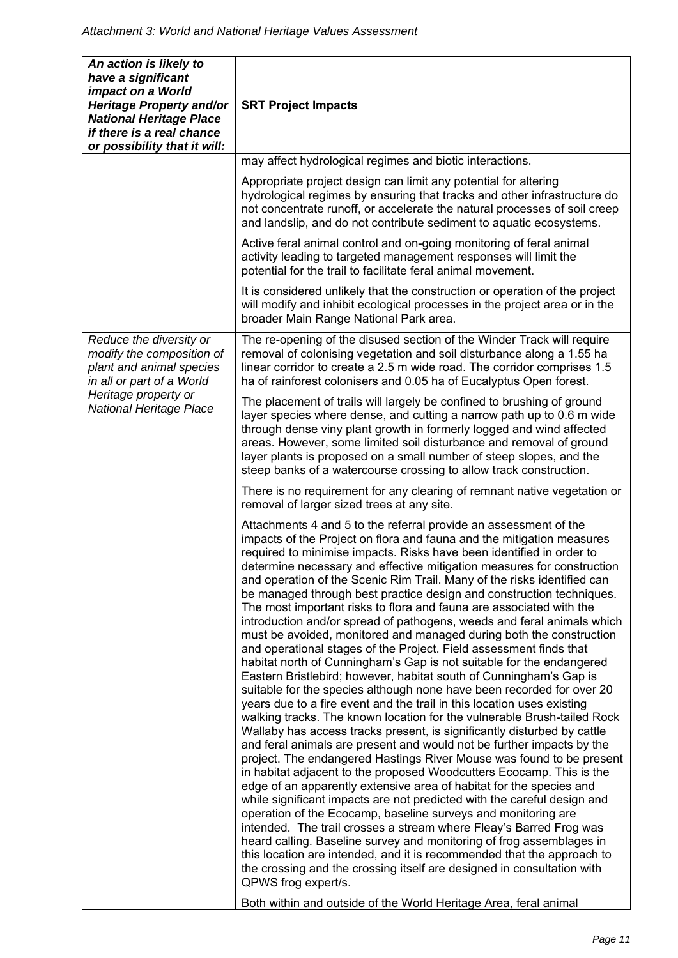| An action is likely to<br>have a significant<br>impact on a World<br>Heritage Property and/or<br><b>National Heritage Place</b><br>if there is a real chance<br>or possibility that it will: | <b>SRT Project Impacts</b>                                                                                                                                                                                                                                                                                                                                                                                                                                                                                                                                                                                                                                                                                                                                                                                                                                                                                                                                                                                                                                                                                                                                                                                                                                                                                                                                                                                                                                                                                                                                                                                                                                                                                                                                                                                                                                                                                                                                                                                                                   |
|----------------------------------------------------------------------------------------------------------------------------------------------------------------------------------------------|----------------------------------------------------------------------------------------------------------------------------------------------------------------------------------------------------------------------------------------------------------------------------------------------------------------------------------------------------------------------------------------------------------------------------------------------------------------------------------------------------------------------------------------------------------------------------------------------------------------------------------------------------------------------------------------------------------------------------------------------------------------------------------------------------------------------------------------------------------------------------------------------------------------------------------------------------------------------------------------------------------------------------------------------------------------------------------------------------------------------------------------------------------------------------------------------------------------------------------------------------------------------------------------------------------------------------------------------------------------------------------------------------------------------------------------------------------------------------------------------------------------------------------------------------------------------------------------------------------------------------------------------------------------------------------------------------------------------------------------------------------------------------------------------------------------------------------------------------------------------------------------------------------------------------------------------------------------------------------------------------------------------------------------------|
|                                                                                                                                                                                              | may affect hydrological regimes and biotic interactions.                                                                                                                                                                                                                                                                                                                                                                                                                                                                                                                                                                                                                                                                                                                                                                                                                                                                                                                                                                                                                                                                                                                                                                                                                                                                                                                                                                                                                                                                                                                                                                                                                                                                                                                                                                                                                                                                                                                                                                                     |
|                                                                                                                                                                                              | Appropriate project design can limit any potential for altering<br>hydrological regimes by ensuring that tracks and other infrastructure do<br>not concentrate runoff, or accelerate the natural processes of soil creep<br>and landslip, and do not contribute sediment to aquatic ecosystems.                                                                                                                                                                                                                                                                                                                                                                                                                                                                                                                                                                                                                                                                                                                                                                                                                                                                                                                                                                                                                                                                                                                                                                                                                                                                                                                                                                                                                                                                                                                                                                                                                                                                                                                                              |
|                                                                                                                                                                                              | Active feral animal control and on-going monitoring of feral animal<br>activity leading to targeted management responses will limit the<br>potential for the trail to facilitate feral animal movement.                                                                                                                                                                                                                                                                                                                                                                                                                                                                                                                                                                                                                                                                                                                                                                                                                                                                                                                                                                                                                                                                                                                                                                                                                                                                                                                                                                                                                                                                                                                                                                                                                                                                                                                                                                                                                                      |
|                                                                                                                                                                                              | It is considered unlikely that the construction or operation of the project<br>will modify and inhibit ecological processes in the project area or in the<br>broader Main Range National Park area.                                                                                                                                                                                                                                                                                                                                                                                                                                                                                                                                                                                                                                                                                                                                                                                                                                                                                                                                                                                                                                                                                                                                                                                                                                                                                                                                                                                                                                                                                                                                                                                                                                                                                                                                                                                                                                          |
| Reduce the diversity or<br>modify the composition of<br>plant and animal species<br>in all or part of a World<br>Heritage property or<br>National Heritage Place                             | The re-opening of the disused section of the Winder Track will require<br>removal of colonising vegetation and soil disturbance along a 1.55 ha<br>linear corridor to create a 2.5 m wide road. The corridor comprises 1.5<br>ha of rainforest colonisers and 0.05 ha of Eucalyptus Open forest.                                                                                                                                                                                                                                                                                                                                                                                                                                                                                                                                                                                                                                                                                                                                                                                                                                                                                                                                                                                                                                                                                                                                                                                                                                                                                                                                                                                                                                                                                                                                                                                                                                                                                                                                             |
|                                                                                                                                                                                              | The placement of trails will largely be confined to brushing of ground<br>layer species where dense, and cutting a narrow path up to 0.6 m wide<br>through dense viny plant growth in formerly logged and wind affected<br>areas. However, some limited soil disturbance and removal of ground<br>layer plants is proposed on a small number of steep slopes, and the<br>steep banks of a watercourse crossing to allow track construction.                                                                                                                                                                                                                                                                                                                                                                                                                                                                                                                                                                                                                                                                                                                                                                                                                                                                                                                                                                                                                                                                                                                                                                                                                                                                                                                                                                                                                                                                                                                                                                                                  |
|                                                                                                                                                                                              | There is no requirement for any clearing of remnant native vegetation or<br>removal of larger sized trees at any site.                                                                                                                                                                                                                                                                                                                                                                                                                                                                                                                                                                                                                                                                                                                                                                                                                                                                                                                                                                                                                                                                                                                                                                                                                                                                                                                                                                                                                                                                                                                                                                                                                                                                                                                                                                                                                                                                                                                       |
|                                                                                                                                                                                              | Attachments 4 and 5 to the referral provide an assessment of the<br>impacts of the Project on flora and fauna and the mitigation measures<br>required to minimise impacts. Risks have been identified in order to<br>determine necessary and effective mitigation measures for construction<br>and operation of the Scenic Rim Trail. Many of the risks identified can<br>be managed through best practice design and construction techniques.<br>The most important risks to flora and fauna are associated with the<br>introduction and/or spread of pathogens, weeds and feral animals which<br>must be avoided, monitored and managed during both the construction<br>and operational stages of the Project. Field assessment finds that<br>habitat north of Cunningham's Gap is not suitable for the endangered<br>Eastern Bristlebird; however, habitat south of Cunningham's Gap is<br>suitable for the species although none have been recorded for over 20<br>years due to a fire event and the trail in this location uses existing<br>walking tracks. The known location for the vulnerable Brush-tailed Rock<br>Wallaby has access tracks present, is significantly disturbed by cattle<br>and feral animals are present and would not be further impacts by the<br>project. The endangered Hastings River Mouse was found to be present<br>in habitat adjacent to the proposed Woodcutters Ecocamp. This is the<br>edge of an apparently extensive area of habitat for the species and<br>while significant impacts are not predicted with the careful design and<br>operation of the Ecocamp, baseline surveys and monitoring are<br>intended. The trail crosses a stream where Fleay's Barred Frog was<br>heard calling. Baseline survey and monitoring of frog assemblages in<br>this location are intended, and it is recommended that the approach to<br>the crossing and the crossing itself are designed in consultation with<br>QPWS frog expert/s.<br>Both within and outside of the World Heritage Area, feral animal |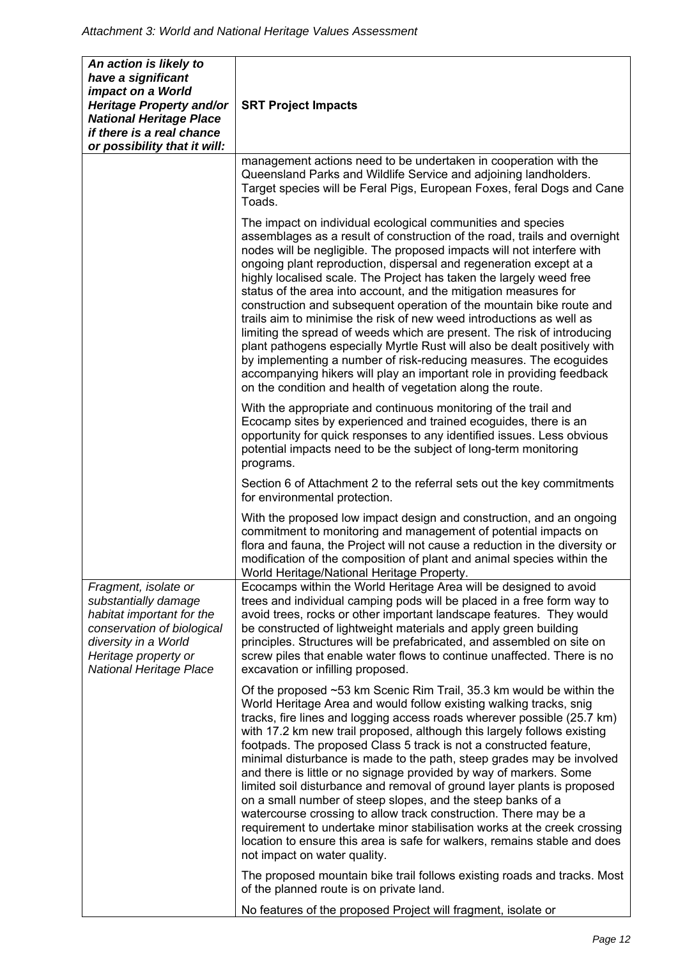| An action is likely to<br>have a significant<br>impact on a World<br><b>Heritage Property and/or</b><br><b>National Heritage Place</b><br>if there is a real chance<br>or possibility that it will: | <b>SRT Project Impacts</b>                                                                                                                                                                                                                                                                                                                                                                                                                                                                                                                                                                                                                                                                                                                                                                                                                                                                                                                              |
|-----------------------------------------------------------------------------------------------------------------------------------------------------------------------------------------------------|---------------------------------------------------------------------------------------------------------------------------------------------------------------------------------------------------------------------------------------------------------------------------------------------------------------------------------------------------------------------------------------------------------------------------------------------------------------------------------------------------------------------------------------------------------------------------------------------------------------------------------------------------------------------------------------------------------------------------------------------------------------------------------------------------------------------------------------------------------------------------------------------------------------------------------------------------------|
|                                                                                                                                                                                                     | management actions need to be undertaken in cooperation with the<br>Queensland Parks and Wildlife Service and adjoining landholders.<br>Target species will be Feral Pigs, European Foxes, feral Dogs and Cane<br>Toads.                                                                                                                                                                                                                                                                                                                                                                                                                                                                                                                                                                                                                                                                                                                                |
|                                                                                                                                                                                                     | The impact on individual ecological communities and species<br>assemblages as a result of construction of the road, trails and overnight<br>nodes will be negligible. The proposed impacts will not interfere with<br>ongoing plant reproduction, dispersal and regeneration except at a<br>highly localised scale. The Project has taken the largely weed free<br>status of the area into account, and the mitigation measures for<br>construction and subsequent operation of the mountain bike route and<br>trails aim to minimise the risk of new weed introductions as well as<br>limiting the spread of weeds which are present. The risk of introducing<br>plant pathogens especially Myrtle Rust will also be dealt positively with<br>by implementing a number of risk-reducing measures. The ecoguides<br>accompanying hikers will play an important role in providing feedback<br>on the condition and health of vegetation along the route. |
|                                                                                                                                                                                                     | With the appropriate and continuous monitoring of the trail and<br>Ecocamp sites by experienced and trained ecoguides, there is an<br>opportunity for quick responses to any identified issues. Less obvious<br>potential impacts need to be the subject of long-term monitoring<br>programs.                                                                                                                                                                                                                                                                                                                                                                                                                                                                                                                                                                                                                                                           |
|                                                                                                                                                                                                     | Section 6 of Attachment 2 to the referral sets out the key commitments<br>for environmental protection.                                                                                                                                                                                                                                                                                                                                                                                                                                                                                                                                                                                                                                                                                                                                                                                                                                                 |
|                                                                                                                                                                                                     | With the proposed low impact design and construction, and an ongoing<br>commitment to monitoring and management of potential impacts on<br>flora and fauna, the Project will not cause a reduction in the diversity or<br>modification of the composition of plant and animal species within the<br>World Heritage/National Heritage Property.                                                                                                                                                                                                                                                                                                                                                                                                                                                                                                                                                                                                          |
| Fragment, isolate or<br>substantially damage<br>habitat important for the<br>conservation of biological<br>diversity in a World<br>Heritage property or<br><b>National Heritage Place</b>           | Ecocamps within the World Heritage Area will be designed to avoid<br>trees and individual camping pods will be placed in a free form way to<br>avoid trees, rocks or other important landscape features. They would<br>be constructed of lightweight materials and apply green building<br>principles. Structures will be prefabricated, and assembled on site on<br>screw piles that enable water flows to continue unaffected. There is no<br>excavation or infilling proposed.                                                                                                                                                                                                                                                                                                                                                                                                                                                                       |
|                                                                                                                                                                                                     | Of the proposed ~53 km Scenic Rim Trail, 35.3 km would be within the<br>World Heritage Area and would follow existing walking tracks, snig<br>tracks, fire lines and logging access roads wherever possible (25.7 km)<br>with 17.2 km new trail proposed, although this largely follows existing<br>footpads. The proposed Class 5 track is not a constructed feature,<br>minimal disturbance is made to the path, steep grades may be involved<br>and there is little or no signage provided by way of markers. Some<br>limited soil disturbance and removal of ground layer plants is proposed<br>on a small number of steep slopes, and the steep banks of a<br>watercourse crossing to allow track construction. There may be a<br>requirement to undertake minor stabilisation works at the creek crossing<br>location to ensure this area is safe for walkers, remains stable and does<br>not impact on water quality.                            |
|                                                                                                                                                                                                     | The proposed mountain bike trail follows existing roads and tracks. Most<br>of the planned route is on private land.                                                                                                                                                                                                                                                                                                                                                                                                                                                                                                                                                                                                                                                                                                                                                                                                                                    |
|                                                                                                                                                                                                     | No features of the proposed Project will fragment, isolate or                                                                                                                                                                                                                                                                                                                                                                                                                                                                                                                                                                                                                                                                                                                                                                                                                                                                                           |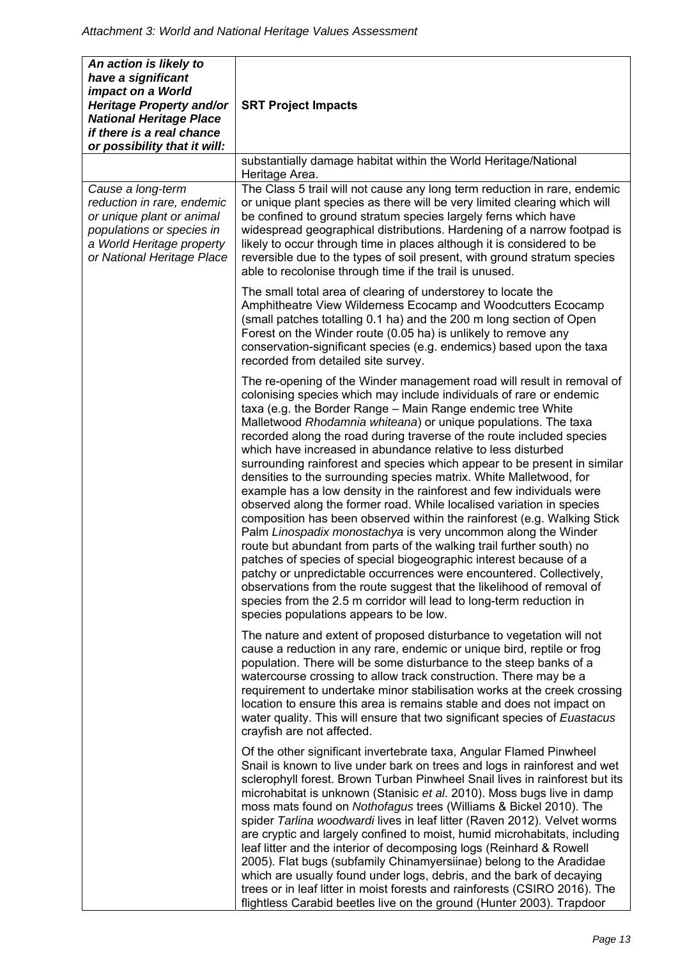| An action is likely to<br>have a significant<br>impact on a World<br>Heritage Property and/or<br><b>National Heritage Place</b><br>if there is a real chance<br>or possibility that it will: | <b>SRT Project Impacts</b>                                                                                                                                                                                                                                                                                                                                                                                                                                                                                                                                                                                                                                                                                                                                                                                                                                                                                                                                                                                                                                                                                                                                                                                                                                                          |
|----------------------------------------------------------------------------------------------------------------------------------------------------------------------------------------------|-------------------------------------------------------------------------------------------------------------------------------------------------------------------------------------------------------------------------------------------------------------------------------------------------------------------------------------------------------------------------------------------------------------------------------------------------------------------------------------------------------------------------------------------------------------------------------------------------------------------------------------------------------------------------------------------------------------------------------------------------------------------------------------------------------------------------------------------------------------------------------------------------------------------------------------------------------------------------------------------------------------------------------------------------------------------------------------------------------------------------------------------------------------------------------------------------------------------------------------------------------------------------------------|
|                                                                                                                                                                                              | substantially damage habitat within the World Heritage/National<br>Heritage Area.                                                                                                                                                                                                                                                                                                                                                                                                                                                                                                                                                                                                                                                                                                                                                                                                                                                                                                                                                                                                                                                                                                                                                                                                   |
| Cause a long-term<br>reduction in rare, endemic<br>or unique plant or animal<br>populations or species in<br>a World Heritage property<br>or National Heritage Place                         | The Class 5 trail will not cause any long term reduction in rare, endemic<br>or unique plant species as there will be very limited clearing which will<br>be confined to ground stratum species largely ferns which have<br>widespread geographical distributions. Hardening of a narrow footpad is<br>likely to occur through time in places although it is considered to be<br>reversible due to the types of soil present, with ground stratum species<br>able to recolonise through time if the trail is unused.                                                                                                                                                                                                                                                                                                                                                                                                                                                                                                                                                                                                                                                                                                                                                                |
|                                                                                                                                                                                              | The small total area of clearing of understorey to locate the<br>Amphitheatre View Wilderness Ecocamp and Woodcutters Ecocamp<br>(small patches totalling 0.1 ha) and the 200 m long section of Open<br>Forest on the Winder route (0.05 ha) is unlikely to remove any<br>conservation-significant species (e.g. endemics) based upon the taxa<br>recorded from detailed site survey.                                                                                                                                                                                                                                                                                                                                                                                                                                                                                                                                                                                                                                                                                                                                                                                                                                                                                               |
|                                                                                                                                                                                              | The re-opening of the Winder management road will result in removal of<br>colonising species which may include individuals of rare or endemic<br>taxa (e.g. the Border Range - Main Range endemic tree White<br>Malletwood Rhodamnia whiteana) or unique populations. The taxa<br>recorded along the road during traverse of the route included species<br>which have increased in abundance relative to less disturbed<br>surrounding rainforest and species which appear to be present in similar<br>densities to the surrounding species matrix. White Malletwood, for<br>example has a low density in the rainforest and few individuals were<br>observed along the former road. While localised variation in species<br>composition has been observed within the rainforest (e.g. Walking Stick<br>Palm Linospadix monostachya is very uncommon along the Winder<br>route but abundant from parts of the walking trail further south) no<br>patches of species of special biogeographic interest because of a<br>patchy or unpredictable occurrences were encountered. Collectively,<br>observations from the route suggest that the likelihood of removal of<br>species from the 2.5 m corridor will lead to long-term reduction in<br>species populations appears to be low. |
|                                                                                                                                                                                              | The nature and extent of proposed disturbance to vegetation will not<br>cause a reduction in any rare, endemic or unique bird, reptile or frog<br>population. There will be some disturbance to the steep banks of a<br>watercourse crossing to allow track construction. There may be a<br>requirement to undertake minor stabilisation works at the creek crossing<br>location to ensure this area is remains stable and does not impact on<br>water quality. This will ensure that two significant species of Euastacus<br>crayfish are not affected.                                                                                                                                                                                                                                                                                                                                                                                                                                                                                                                                                                                                                                                                                                                            |
|                                                                                                                                                                                              | Of the other significant invertebrate taxa, Angular Flamed Pinwheel<br>Snail is known to live under bark on trees and logs in rainforest and wet<br>sclerophyll forest. Brown Turban Pinwheel Snail lives in rainforest but its<br>microhabitat is unknown (Stanisic et al. 2010). Moss bugs live in damp<br>moss mats found on Nothofagus trees (Williams & Bickel 2010). The<br>spider Tarlina woodwardi lives in leaf litter (Raven 2012). Velvet worms<br>are cryptic and largely confined to moist, humid microhabitats, including<br>leaf litter and the interior of decomposing logs (Reinhard & Rowell<br>2005). Flat bugs (subfamily Chinamyersiinae) belong to the Aradidae<br>which are usually found under logs, debris, and the bark of decaying<br>trees or in leaf litter in moist forests and rainforests (CSIRO 2016). The<br>flightless Carabid beetles live on the ground (Hunter 2003). Trapdoor                                                                                                                                                                                                                                                                                                                                                                |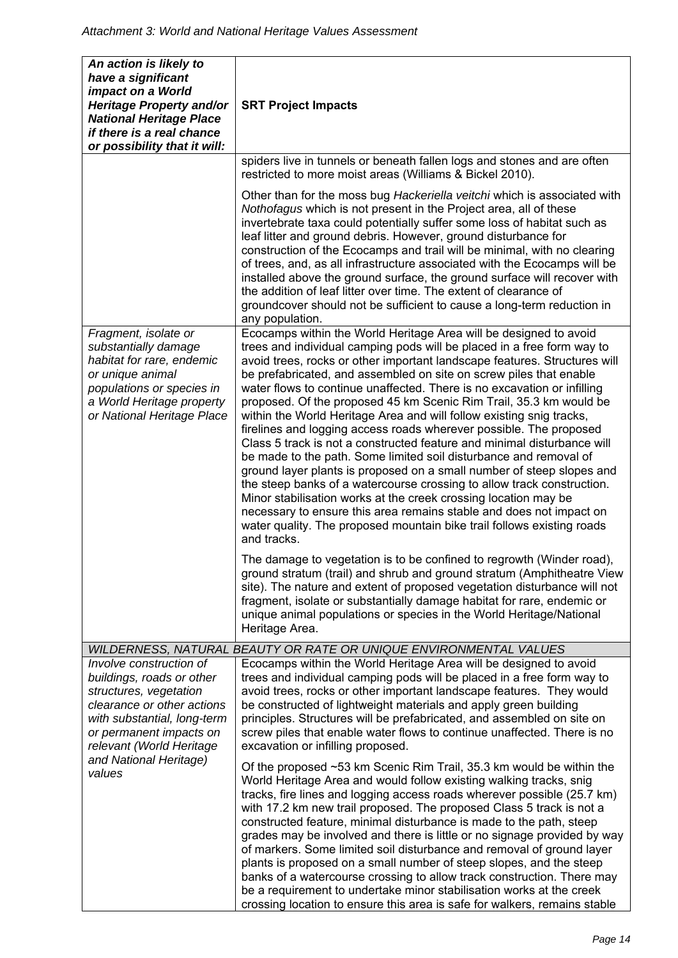| An action is likely to<br>have a significant<br>impact on a World<br>Heritage Property and/or<br><b>National Heritage Place</b><br>if there is a real chance<br>or possibility that it will:                                           | <b>SRT Project Impacts</b>                                                                                                                                                                                                                                                                                                                                                                                                                                                                                                                                                                                                                                                                                                                                                                                                                                                                                                                                                                                                                                                                                                                                                                                                                                                                                                                                                                                                                                                                                                            |
|----------------------------------------------------------------------------------------------------------------------------------------------------------------------------------------------------------------------------------------|---------------------------------------------------------------------------------------------------------------------------------------------------------------------------------------------------------------------------------------------------------------------------------------------------------------------------------------------------------------------------------------------------------------------------------------------------------------------------------------------------------------------------------------------------------------------------------------------------------------------------------------------------------------------------------------------------------------------------------------------------------------------------------------------------------------------------------------------------------------------------------------------------------------------------------------------------------------------------------------------------------------------------------------------------------------------------------------------------------------------------------------------------------------------------------------------------------------------------------------------------------------------------------------------------------------------------------------------------------------------------------------------------------------------------------------------------------------------------------------------------------------------------------------|
|                                                                                                                                                                                                                                        | spiders live in tunnels or beneath fallen logs and stones and are often<br>restricted to more moist areas (Williams & Bickel 2010).                                                                                                                                                                                                                                                                                                                                                                                                                                                                                                                                                                                                                                                                                                                                                                                                                                                                                                                                                                                                                                                                                                                                                                                                                                                                                                                                                                                                   |
|                                                                                                                                                                                                                                        | Other than for the moss bug Hackeriella veitchi which is associated with<br>Nothofagus which is not present in the Project area, all of these<br>invertebrate taxa could potentially suffer some loss of habitat such as<br>leaf litter and ground debris. However, ground disturbance for<br>construction of the Ecocamps and trail will be minimal, with no clearing<br>of trees, and, as all infrastructure associated with the Ecocamps will be<br>installed above the ground surface, the ground surface will recover with<br>the addition of leaf litter over time. The extent of clearance of<br>groundcover should not be sufficient to cause a long-term reduction in<br>any population.                                                                                                                                                                                                                                                                                                                                                                                                                                                                                                                                                                                                                                                                                                                                                                                                                                     |
| Fragment, isolate or<br>substantially damage<br>habitat for rare, endemic<br>or unique animal<br>populations or species in<br>a World Heritage property<br>or National Heritage Place                                                  | Ecocamps within the World Heritage Area will be designed to avoid<br>trees and individual camping pods will be placed in a free form way to<br>avoid trees, rocks or other important landscape features. Structures will<br>be prefabricated, and assembled on site on screw piles that enable<br>water flows to continue unaffected. There is no excavation or infilling<br>proposed. Of the proposed 45 km Scenic Rim Trail, 35.3 km would be<br>within the World Heritage Area and will follow existing snig tracks,<br>firelines and logging access roads wherever possible. The proposed<br>Class 5 track is not a constructed feature and minimal disturbance will<br>be made to the path. Some limited soil disturbance and removal of<br>ground layer plants is proposed on a small number of steep slopes and<br>the steep banks of a watercourse crossing to allow track construction.<br>Minor stabilisation works at the creek crossing location may be<br>necessary to ensure this area remains stable and does not impact on<br>water quality. The proposed mountain bike trail follows existing roads<br>and tracks.<br>The damage to vegetation is to be confined to regrowth (Winder road),<br>ground stratum (trail) and shrub and ground stratum (Amphitheatre View<br>site). The nature and extent of proposed vegetation disturbance will not<br>fragment, isolate or substantially damage habitat for rare, endemic or<br>unique animal populations or species in the World Heritage/National<br>Heritage Area. |
|                                                                                                                                                                                                                                        | WILDERNESS, NATURAL BEAUTY OR RATE OR UNIQUE ENVIRONMENTAL VALUES                                                                                                                                                                                                                                                                                                                                                                                                                                                                                                                                                                                                                                                                                                                                                                                                                                                                                                                                                                                                                                                                                                                                                                                                                                                                                                                                                                                                                                                                     |
| Involve construction of<br>buildings, roads or other<br>structures, vegetation<br>clearance or other actions<br>with substantial, long-term<br>or permanent impacts on<br>relevant (World Heritage<br>and National Heritage)<br>values | Ecocamps within the World Heritage Area will be designed to avoid<br>trees and individual camping pods will be placed in a free form way to<br>avoid trees, rocks or other important landscape features. They would<br>be constructed of lightweight materials and apply green building<br>principles. Structures will be prefabricated, and assembled on site on<br>screw piles that enable water flows to continue unaffected. There is no<br>excavation or infilling proposed.                                                                                                                                                                                                                                                                                                                                                                                                                                                                                                                                                                                                                                                                                                                                                                                                                                                                                                                                                                                                                                                     |
|                                                                                                                                                                                                                                        | Of the proposed $\sim$ 53 km Scenic Rim Trail, 35.3 km would be within the<br>World Heritage Area and would follow existing walking tracks, snig<br>tracks, fire lines and logging access roads wherever possible (25.7 km)<br>with 17.2 km new trail proposed. The proposed Class 5 track is not a<br>constructed feature, minimal disturbance is made to the path, steep<br>grades may be involved and there is little or no signage provided by way<br>of markers. Some limited soil disturbance and removal of ground layer<br>plants is proposed on a small number of steep slopes, and the steep<br>banks of a watercourse crossing to allow track construction. There may<br>be a requirement to undertake minor stabilisation works at the creek<br>crossing location to ensure this area is safe for walkers, remains stable                                                                                                                                                                                                                                                                                                                                                                                                                                                                                                                                                                                                                                                                                                 |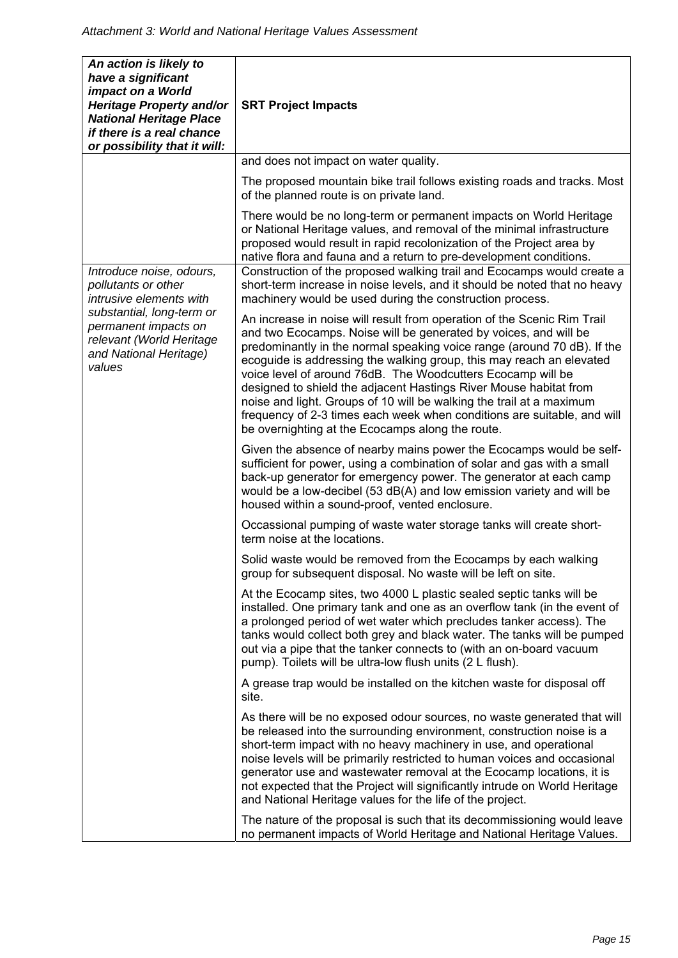| An action is likely to<br>have a significant<br>impact on a World<br>Heritage Property and/or<br><b>National Heritage Place</b><br>if there is a real chance<br>or possibility that it will:    | <b>SRT Project Impacts</b>                                                                                                                                                                                                                                                                                                                                                                                                                                                                                                                                                                                                                |
|-------------------------------------------------------------------------------------------------------------------------------------------------------------------------------------------------|-------------------------------------------------------------------------------------------------------------------------------------------------------------------------------------------------------------------------------------------------------------------------------------------------------------------------------------------------------------------------------------------------------------------------------------------------------------------------------------------------------------------------------------------------------------------------------------------------------------------------------------------|
|                                                                                                                                                                                                 | and does not impact on water quality.                                                                                                                                                                                                                                                                                                                                                                                                                                                                                                                                                                                                     |
|                                                                                                                                                                                                 | The proposed mountain bike trail follows existing roads and tracks. Most<br>of the planned route is on private land.                                                                                                                                                                                                                                                                                                                                                                                                                                                                                                                      |
|                                                                                                                                                                                                 | There would be no long-term or permanent impacts on World Heritage<br>or National Heritage values, and removal of the minimal infrastructure<br>proposed would result in rapid recolonization of the Project area by<br>native flora and fauna and a return to pre-development conditions.                                                                                                                                                                                                                                                                                                                                                |
| Introduce noise, odours,<br>pollutants or other<br>intrusive elements with<br>substantial, long-term or<br>permanent impacts on<br>relevant (World Heritage<br>and National Heritage)<br>values | Construction of the proposed walking trail and Ecocamps would create a<br>short-term increase in noise levels, and it should be noted that no heavy<br>machinery would be used during the construction process.                                                                                                                                                                                                                                                                                                                                                                                                                           |
|                                                                                                                                                                                                 | An increase in noise will result from operation of the Scenic Rim Trail<br>and two Ecocamps. Noise will be generated by voices, and will be<br>predominantly in the normal speaking voice range (around 70 dB). If the<br>ecoguide is addressing the walking group, this may reach an elevated<br>voice level of around 76dB. The Woodcutters Ecocamp will be<br>designed to shield the adjacent Hastings River Mouse habitat from<br>noise and light. Groups of 10 will be walking the trail at a maximum<br>frequency of 2-3 times each week when conditions are suitable, and will<br>be overnighting at the Ecocamps along the route. |
|                                                                                                                                                                                                 | Given the absence of nearby mains power the Ecocamps would be self-<br>sufficient for power, using a combination of solar and gas with a small<br>back-up generator for emergency power. The generator at each camp<br>would be a low-decibel (53 dB(A) and low emission variety and will be<br>housed within a sound-proof, vented enclosure.                                                                                                                                                                                                                                                                                            |
|                                                                                                                                                                                                 | Occassional pumping of waste water storage tanks will create short-<br>term noise at the locations.                                                                                                                                                                                                                                                                                                                                                                                                                                                                                                                                       |
|                                                                                                                                                                                                 | Solid waste would be removed from the Ecocamps by each walking<br>group for subsequent disposal. No waste will be left on site.                                                                                                                                                                                                                                                                                                                                                                                                                                                                                                           |
|                                                                                                                                                                                                 | At the Ecocamp sites, two 4000 L plastic sealed septic tanks will be<br>installed. One primary tank and one as an overflow tank (in the event of<br>a prolonged period of wet water which precludes tanker access). The<br>tanks would collect both grey and black water. The tanks will be pumped<br>out via a pipe that the tanker connects to (with an on-board vacuum<br>pump). Toilets will be ultra-low flush units (2 L flush).                                                                                                                                                                                                    |
|                                                                                                                                                                                                 | A grease trap would be installed on the kitchen waste for disposal off<br>site.                                                                                                                                                                                                                                                                                                                                                                                                                                                                                                                                                           |
|                                                                                                                                                                                                 | As there will be no exposed odour sources, no waste generated that will<br>be released into the surrounding environment, construction noise is a<br>short-term impact with no heavy machinery in use, and operational<br>noise levels will be primarily restricted to human voices and occasional<br>generator use and wastewater removal at the Ecocamp locations, it is<br>not expected that the Project will significantly intrude on World Heritage<br>and National Heritage values for the life of the project.                                                                                                                      |
|                                                                                                                                                                                                 | The nature of the proposal is such that its decommissioning would leave<br>no permanent impacts of World Heritage and National Heritage Values.                                                                                                                                                                                                                                                                                                                                                                                                                                                                                           |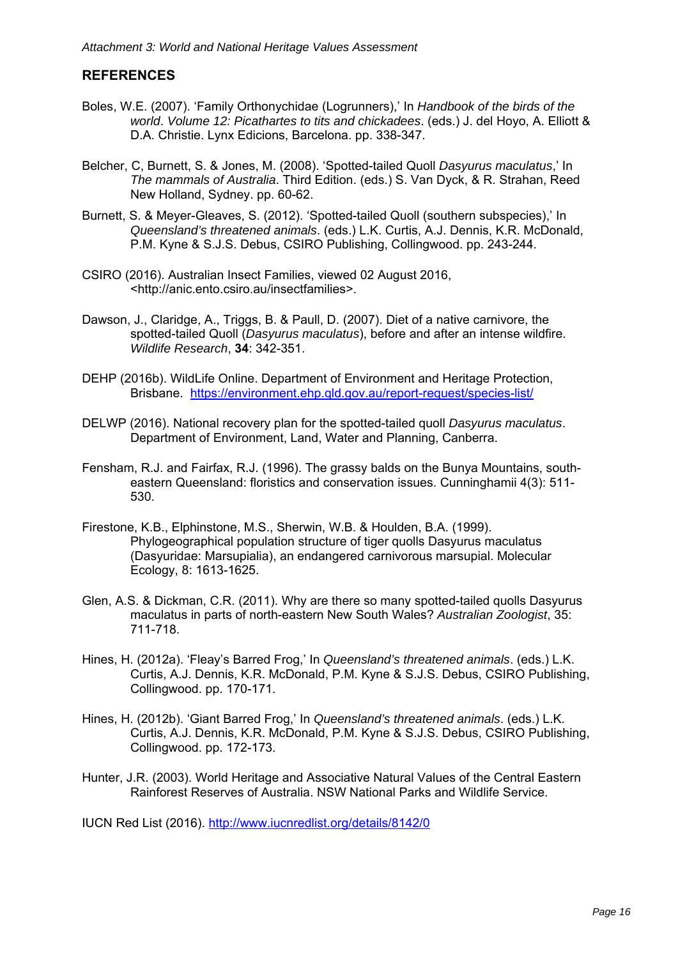## **REFERENCES**

- Boles, W.E. (2007). 'Family Orthonychidae (Logrunners),' In *Handbook of the birds of the world*. *Volume 12: Picathartes to tits and chickadees*. (eds.) J. del Hoyo, A. Elliott & D.A. Christie. Lynx Edicions, Barcelona. pp. 338-347.
- Belcher, C, Burnett, S. & Jones, M. (2008). 'Spotted-tailed Quoll *Dasyurus maculatus*,' In *The mammals of Australia*. Third Edition. (eds.) S. Van Dyck, & R. Strahan, Reed New Holland, Sydney. pp. 60-62.
- Burnett, S. & Meyer-Gleaves, S. (2012). 'Spotted-tailed Quoll (southern subspecies),' In *Queensland's threatened animals*. (eds.) L.K. Curtis, A.J. Dennis, K.R. McDonald, P.M. Kyne & S.J.S. Debus, CSIRO Publishing, Collingwood. pp. 243-244.
- CSIRO (2016). Australian Insect Families, viewed 02 August 2016, <http://anic.ento.csiro.au/insectfamilies>.
- Dawson, J., Claridge, A., Triggs, B. & Paull, D. (2007). Diet of a native carnivore, the spotted-tailed Quoll (*Dasyurus maculatus*), before and after an intense wildfire. *Wildlife Research*, **34**: 342-351.
- DEHP (2016b). WildLife Online. Department of Environment and Heritage Protection, Brisbane. https://environment.ehp.qld.gov.au/report-request/species-list/
- DELWP (2016). National recovery plan for the spotted-tailed quoll *Dasyurus maculatus*. Department of Environment, Land, Water and Planning, Canberra.
- Fensham, R.J. and Fairfax, R.J. (1996). The grassy balds on the Bunya Mountains, southeastern Queensland: floristics and conservation issues. Cunninghamii 4(3): 511- 530.
- Firestone, K.B., Elphinstone, M.S., Sherwin, W.B. & Houlden, B.A. (1999). Phylogeographical population structure of tiger quolls Dasyurus maculatus (Dasyuridae: Marsupialia), an endangered carnivorous marsupial. Molecular Ecology, 8: 1613-1625.
- Glen, A.S. & Dickman, C.R. (2011). Why are there so many spotted-tailed quolls Dasyurus maculatus in parts of north-eastern New South Wales? *Australian Zoologist*, 35: 711-718.
- Hines, H. (2012a). 'Fleay's Barred Frog,' In *Queensland's threatened animals*. (eds.) L.K. Curtis, A.J. Dennis, K.R. McDonald, P.M. Kyne & S.J.S. Debus, CSIRO Publishing, Collingwood. pp. 170-171.
- Hines, H. (2012b). 'Giant Barred Frog,' In *Queensland's threatened animals*. (eds.) L.K. Curtis, A.J. Dennis, K.R. McDonald, P.M. Kyne & S.J.S. Debus, CSIRO Publishing, Collingwood. pp. 172-173.
- Hunter, J.R. (2003). World Heritage and Associative Natural Values of the Central Eastern Rainforest Reserves of Australia. NSW National Parks and Wildlife Service.

IUCN Red List (2016). http://www.iucnredlist.org/details/8142/0